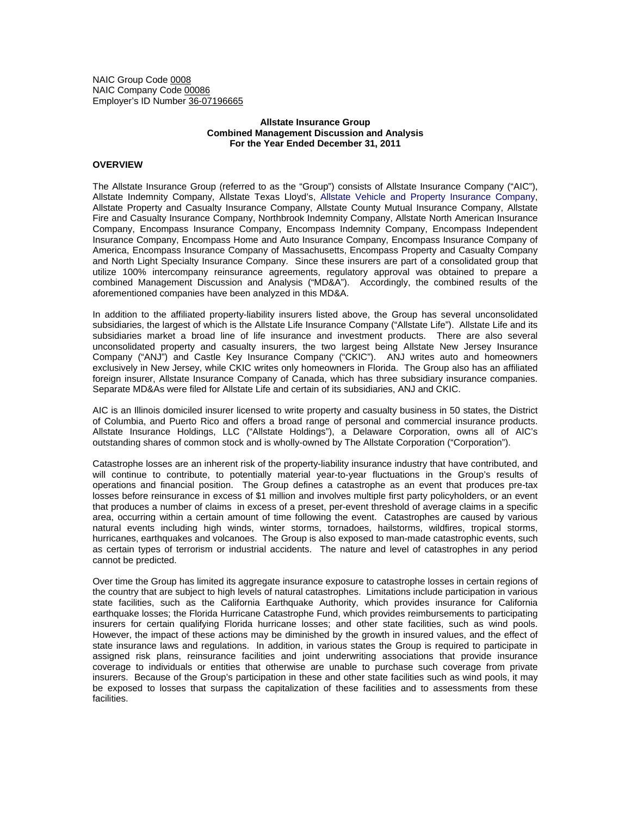NAIC Group Code 0008 NAIC Company Code 00086 Employer's ID Number 36-07196665

## **Allstate Insurance Group Combined Management Discussion and Analysis For the Year Ended December 31, 2011**

# **OVERVIEW**

The Allstate Insurance Group (referred to as the "Group") consists of Allstate Insurance Company ("AIC"), Allstate Indemnity Company, Allstate Texas Lloyd's, Allstate Vehicle and Property Insurance Company, Allstate Property and Casualty Insurance Company, Allstate County Mutual Insurance Company, Allstate Fire and Casualty Insurance Company, Northbrook Indemnity Company, Allstate North American Insurance Company, Encompass Insurance Company, Encompass Indemnity Company, Encompass Independent Insurance Company, Encompass Home and Auto Insurance Company, Encompass Insurance Company of America, Encompass Insurance Company of Massachusetts, Encompass Property and Casualty Company and North Light Specialty Insurance Company. Since these insurers are part of a consolidated group that utilize 100% intercompany reinsurance agreements, regulatory approval was obtained to prepare a combined Management Discussion and Analysis ("MD&A"). Accordingly, the combined results of the aforementioned companies have been analyzed in this MD&A.

In addition to the affiliated property-liability insurers listed above, the Group has several unconsolidated subsidiaries, the largest of which is the Allstate Life Insurance Company ("Allstate Life"). Allstate Life and its subsidiaries market a broad line of life insurance and investment products. There are also several unconsolidated property and casualty insurers, the two largest being Allstate New Jersey Insurance Company ("ANJ") and Castle Key Insurance Company ("CKIC"). ANJ writes auto and homeowners exclusively in New Jersey, while CKIC writes only homeowners in Florida. The Group also has an affiliated foreign insurer, Allstate Insurance Company of Canada, which has three subsidiary insurance companies. Separate MD&As were filed for Allstate Life and certain of its subsidiaries, ANJ and CKIC.

AIC is an Illinois domiciled insurer licensed to write property and casualty business in 50 states, the District of Columbia, and Puerto Rico and offers a broad range of personal and commercial insurance products. Allstate Insurance Holdings, LLC ("Allstate Holdings"), a Delaware Corporation, owns all of AIC's outstanding shares of common stock and is wholly-owned by The Allstate Corporation ("Corporation").

Catastrophe losses are an inherent risk of the property-liability insurance industry that have contributed, and will continue to contribute, to potentially material year-to-year fluctuations in the Group's results of operations and financial position. The Group defines a catastrophe as an event that produces pre-tax losses before reinsurance in excess of \$1 million and involves multiple first party policyholders, or an event that produces a number of claims in excess of a preset, per-event threshold of average claims in a specific area, occurring within a certain amount of time following the event. Catastrophes are caused by various natural events including high winds, winter storms, tornadoes, hailstorms, wildfires, tropical storms, hurricanes, earthquakes and volcanoes. The Group is also exposed to man-made catastrophic events, such as certain types of terrorism or industrial accidents. The nature and level of catastrophes in any period cannot be predicted.

Over time the Group has limited its aggregate insurance exposure to catastrophe losses in certain regions of the country that are subject to high levels of natural catastrophes. Limitations include participation in various state facilities, such as the California Earthquake Authority, which provides insurance for California earthquake losses; the Florida Hurricane Catastrophe Fund, which provides reimbursements to participating insurers for certain qualifying Florida hurricane losses; and other state facilities, such as wind pools. However, the impact of these actions may be diminished by the growth in insured values, and the effect of state insurance laws and regulations. In addition, in various states the Group is required to participate in assigned risk plans, reinsurance facilities and joint underwriting associations that provide insurance coverage to individuals or entities that otherwise are unable to purchase such coverage from private insurers. Because of the Group's participation in these and other state facilities such as wind pools, it may be exposed to losses that surpass the capitalization of these facilities and to assessments from these facilities.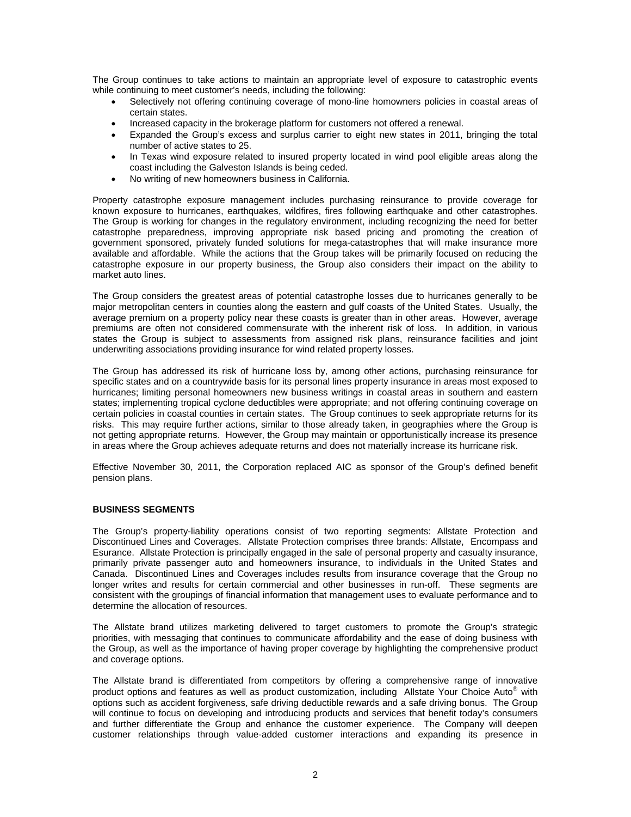The Group continues to take actions to maintain an appropriate level of exposure to catastrophic events while continuing to meet customer's needs, including the following:

- Selectively not offering continuing coverage of mono-line homowners policies in coastal areas of certain states.
- Increased capacity in the brokerage platform for customers not offered a renewal.
- Expanded the Group's excess and surplus carrier to eight new states in 2011, bringing the total number of active states to 25.
- In Texas wind exposure related to insured property located in wind pool eligible areas along the coast including the Galveston Islands is being ceded.
- No writing of new homeowners business in California.

Property catastrophe exposure management includes purchasing reinsurance to provide coverage for known exposure to hurricanes, earthquakes, wildfires, fires following earthquake and other catastrophes. The Group is working for changes in the regulatory environment, including recognizing the need for better catastrophe preparedness, improving appropriate risk based pricing and promoting the creation of government sponsored, privately funded solutions for mega-catastrophes that will make insurance more available and affordable. While the actions that the Group takes will be primarily focused on reducing the catastrophe exposure in our property business, the Group also considers their impact on the ability to market auto lines.

The Group considers the greatest areas of potential catastrophe losses due to hurricanes generally to be major metropolitan centers in counties along the eastern and gulf coasts of the United States. Usually, the average premium on a property policy near these coasts is greater than in other areas. However, average premiums are often not considered commensurate with the inherent risk of loss. In addition, in various states the Group is subject to assessments from assigned risk plans, reinsurance facilities and joint underwriting associations providing insurance for wind related property losses.

The Group has addressed its risk of hurricane loss by, among other actions, purchasing reinsurance for specific states and on a countrywide basis for its personal lines property insurance in areas most exposed to hurricanes; limiting personal homeowners new business writings in coastal areas in southern and eastern states; implementing tropical cyclone deductibles were appropriate; and not offering continuing coverage on certain policies in coastal counties in certain states. The Group continues to seek appropriate returns for its risks. This may require further actions, similar to those already taken, in geographies where the Group is not getting appropriate returns. However, the Group may maintain or opportunistically increase its presence in areas where the Group achieves adequate returns and does not materially increase its hurricane risk.

Effective November 30, 2011, the Corporation replaced AIC as sponsor of the Group's defined benefit pension plans.

## **BUSINESS SEGMENTS**

The Group's property-liability operations consist of two reporting segments: Allstate Protection and Discontinued Lines and Coverages. Allstate Protection comprises three brands: Allstate, Encompass and Esurance. Allstate Protection is principally engaged in the sale of personal property and casualty insurance, primarily private passenger auto and homeowners insurance, to individuals in the United States and Canada. Discontinued Lines and Coverages includes results from insurance coverage that the Group no longer writes and results for certain commercial and other businesses in run-off. These segments are consistent with the groupings of financial information that management uses to evaluate performance and to determine the allocation of resources.

The Allstate brand utilizes marketing delivered to target customers to promote the Group's strategic priorities, with messaging that continues to communicate affordability and the ease of doing business with the Group, as well as the importance of having proper coverage by highlighting the comprehensive product and coverage options.

The Allstate brand is differentiated from competitors by offering a comprehensive range of innovative product options and features as well as product customization, including Allstate Your Choice Auto® with options such as accident forgiveness, safe driving deductible rewards and a safe driving bonus. The Group will continue to focus on developing and introducing products and services that benefit today's consumers and further differentiate the Group and enhance the customer experience. The Company will deepen customer relationships through value-added customer interactions and expanding its presence in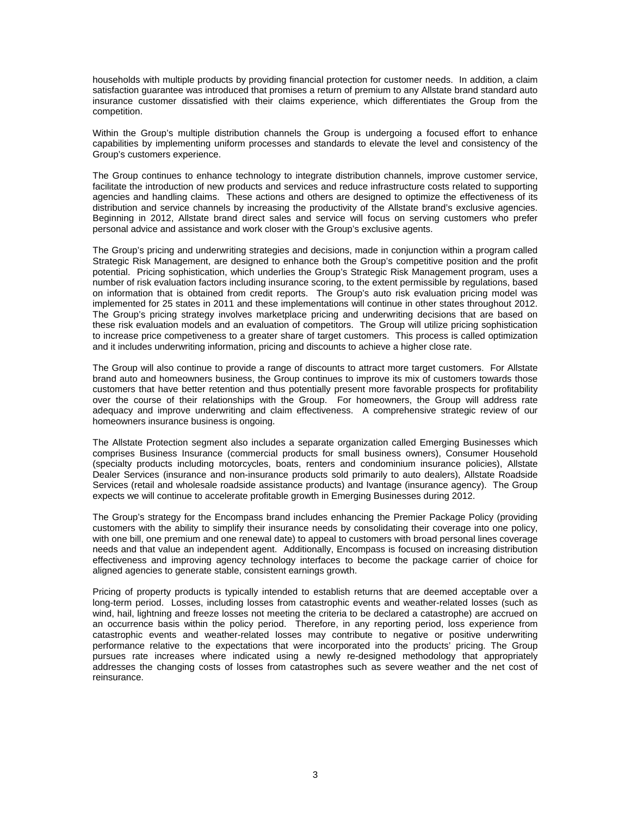households with multiple products by providing financial protection for customer needs. In addition, a claim satisfaction guarantee was introduced that promises a return of premium to any Allstate brand standard auto insurance customer dissatisfied with their claims experience, which differentiates the Group from the competition.

Within the Group's multiple distribution channels the Group is undergoing a focused effort to enhance capabilities by implementing uniform processes and standards to elevate the level and consistency of the Group's customers experience.

The Group continues to enhance technology to integrate distribution channels, improve customer service, facilitate the introduction of new products and services and reduce infrastructure costs related to supporting agencies and handling claims. These actions and others are designed to optimize the effectiveness of its distribution and service channels by increasing the productivity of the Allstate brand's exclusive agencies. Beginning in 2012, Allstate brand direct sales and service will focus on serving customers who prefer personal advice and assistance and work closer with the Group's exclusive agents.

The Group's pricing and underwriting strategies and decisions, made in conjunction within a program called Strategic Risk Management, are designed to enhance both the Group's competitive position and the profit potential. Pricing sophistication, which underlies the Group's Strategic Risk Management program, uses a number of risk evaluation factors including insurance scoring, to the extent permissible by regulations, based on information that is obtained from credit reports. The Group's auto risk evaluation pricing model was implemented for 25 states in 2011 and these implementations will continue in other states throughout 2012. The Group's pricing strategy involves marketplace pricing and underwriting decisions that are based on these risk evaluation models and an evaluation of competitors. The Group will utilize pricing sophistication to increase price competiveness to a greater share of target customers. This process is called optimization and it includes underwriting information, pricing and discounts to achieve a higher close rate.

The Group will also continue to provide a range of discounts to attract more target customers. For Allstate brand auto and homeowners business, the Group continues to improve its mix of customers towards those customers that have better retention and thus potentially present more favorable prospects for profitability over the course of their relationships with the Group. For homeowners, the Group will address rate adequacy and improve underwriting and claim effectiveness. A comprehensive strategic review of our homeowners insurance business is ongoing.

The Allstate Protection segment also includes a separate organization called Emerging Businesses which comprises Business Insurance (commercial products for small business owners), Consumer Household (specialty products including motorcycles, boats, renters and condominium insurance policies), Allstate Dealer Services (insurance and non-insurance products sold primarily to auto dealers), Allstate Roadside Services (retail and wholesale roadside assistance products) and Ivantage (insurance agency). The Group expects we will continue to accelerate profitable growth in Emerging Businesses during 2012.

The Group's strategy for the Encompass brand includes enhancing the Premier Package Policy (providing customers with the ability to simplify their insurance needs by consolidating their coverage into one policy, with one bill, one premium and one renewal date) to appeal to customers with broad personal lines coverage needs and that value an independent agent. Additionally, Encompass is focused on increasing distribution effectiveness and improving agency technology interfaces to become the package carrier of choice for aligned agencies to generate stable, consistent earnings growth.

Pricing of property products is typically intended to establish returns that are deemed acceptable over a long-term period. Losses, including losses from catastrophic events and weather-related losses (such as wind, hail, lightning and freeze losses not meeting the criteria to be declared a catastrophe) are accrued on an occurrence basis within the policy period. Therefore, in any reporting period, loss experience from catastrophic events and weather-related losses may contribute to negative or positive underwriting performance relative to the expectations that were incorporated into the products' pricing. The Group pursues rate increases where indicated using a newly re-designed methodology that appropriately addresses the changing costs of losses from catastrophes such as severe weather and the net cost of reinsurance.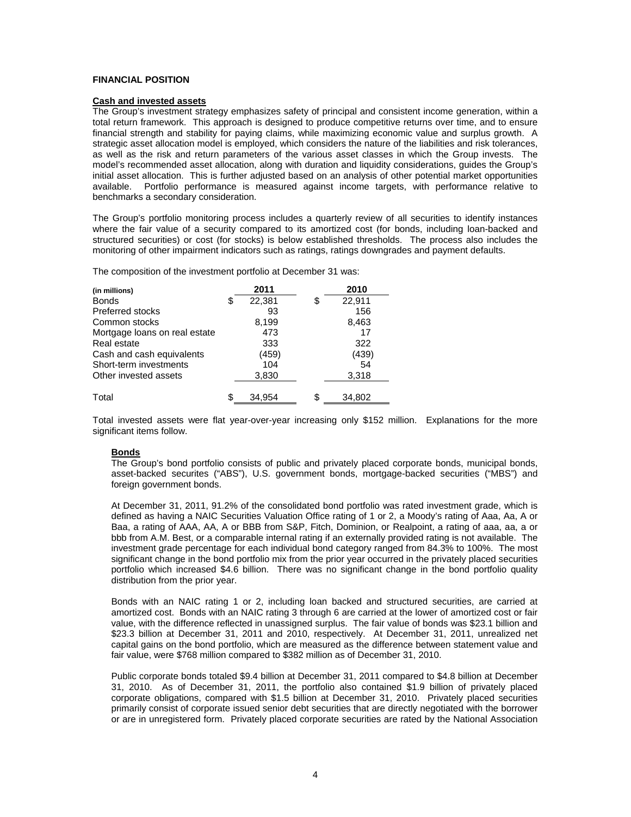## **FINANCIAL POSITION**

# **Cash and invested assets**

The Group's investment strategy emphasizes safety of principal and consistent income generation, within a total return framework. This approach is designed to produce competitive returns over time, and to ensure financial strength and stability for paying claims, while maximizing economic value and surplus growth. A strategic asset allocation model is employed, which considers the nature of the liabilities and risk tolerances, as well as the risk and return parameters of the various asset classes in which the Group invests. The model's recommended asset allocation, along with duration and liquidity considerations, guides the Group's initial asset allocation. This is further adjusted based on an analysis of other potential market opportunities available. Portfolio performance is measured against income targets, with performance relative to benchmarks a secondary consideration.

The Group's portfolio monitoring process includes a quarterly review of all securities to identify instances where the fair value of a security compared to its amortized cost (for bonds, including loan-backed and structured securities) or cost (for stocks) is below established thresholds. The process also includes the monitoring of other impairment indicators such as ratings, ratings downgrades and payment defaults.

The composition of the investment portfolio at December 31 was:

| (in millions)                 | 2011         | 2010         |
|-------------------------------|--------------|--------------|
| <b>Bonds</b>                  | \$<br>22,381 | \$<br>22,911 |
| <b>Preferred stocks</b>       | 93           | 156          |
| Common stocks                 | 8,199        | 8,463        |
| Mortgage loans on real estate | 473          | 17           |
| Real estate                   | 333          | 322          |
| Cash and cash equivalents     | (459)        | (439)        |
| Short-term investments        | 104          | 54           |
| Other invested assets         | 3,830        | 3,318        |
| Total                         | \$<br>34.954 | \$<br>34,802 |

Total invested assets were flat year-over-year increasing only \$152 million. Explanations for the more significant items follow.

#### **Bonds**

The Group's bond portfolio consists of public and privately placed corporate bonds, municipal bonds, asset-backed securites ("ABS"), U.S. government bonds, mortgage-backed securities ("MBS") and foreign government bonds.

At December 31, 2011, 91.2% of the consolidated bond portfolio was rated investment grade, which is defined as having a NAIC Securities Valuation Office rating of 1 or 2, a Moody's rating of Aaa, Aa, A or Baa, a rating of AAA, AA, A or BBB from S&P, Fitch, Dominion, or Realpoint, a rating of aaa, aa, a or bbb from A.M. Best, or a comparable internal rating if an externally provided rating is not available. The investment grade percentage for each individual bond category ranged from 84.3% to 100%. The most significant change in the bond portfolio mix from the prior year occurred in the privately placed securities portfolio which increased \$4.6 billion. There was no significant change in the bond portfolio quality distribution from the prior year.

Bonds with an NAIC rating 1 or 2, including loan backed and structured securities, are carried at amortized cost. Bonds with an NAIC rating 3 through 6 are carried at the lower of amortized cost or fair value, with the difference reflected in unassigned surplus. The fair value of bonds was \$23.1 billion and \$23.3 billion at December 31, 2011 and 2010, respectively. At December 31, 2011, unrealized net capital gains on the bond portfolio, which are measured as the difference between statement value and fair value, were \$768 million compared to \$382 million as of December 31, 2010.

Public corporate bonds totaled \$9.4 billion at December 31, 2011 compared to \$4.8 billion at December 31, 2010. As of December 31, 2011, the portfolio also contained \$1.9 billion of privately placed corporate obligations, compared with \$1.5 billion at December 31, 2010. Privately placed securities primarily consist of corporate issued senior debt securities that are directly negotiated with the borrower or are in unregistered form. Privately placed corporate securities are rated by the National Association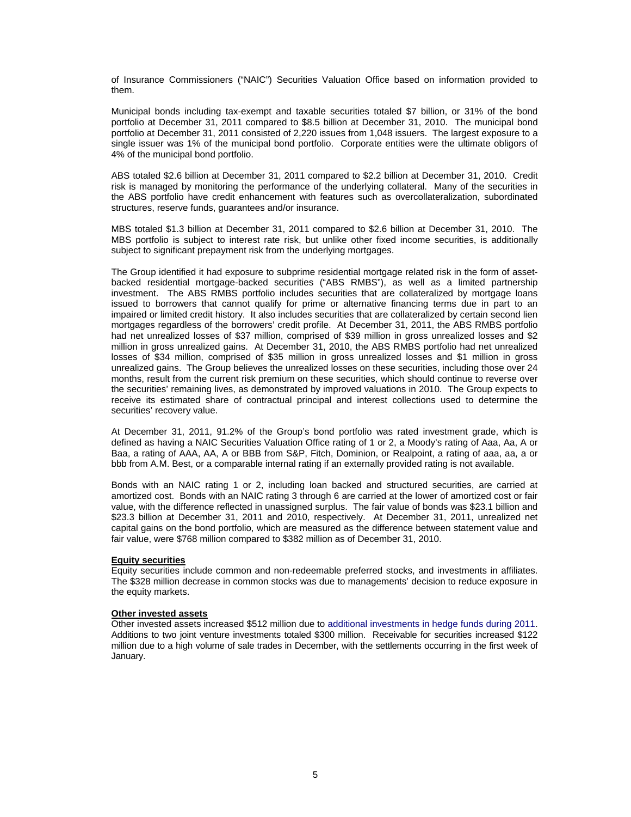of Insurance Commissioners ("NAIC") Securities Valuation Office based on information provided to them.

Municipal bonds including tax-exempt and taxable securities totaled \$7 billion, or 31% of the bond portfolio at December 31, 2011 compared to \$8.5 billion at December 31, 2010. The municipal bond portfolio at December 31, 2011 consisted of 2,220 issues from 1,048 issuers. The largest exposure to a single issuer was 1% of the municipal bond portfolio. Corporate entities were the ultimate obligors of 4% of the municipal bond portfolio.

ABS totaled \$2.6 billion at December 31, 2011 compared to \$2.2 billion at December 31, 2010. Credit risk is managed by monitoring the performance of the underlying collateral. Many of the securities in the ABS portfolio have credit enhancement with features such as overcollateralization, subordinated structures, reserve funds, guarantees and/or insurance.

MBS totaled \$1.3 billion at December 31, 2011 compared to \$2.6 billion at December 31, 2010. The MBS portfolio is subject to interest rate risk, but unlike other fixed income securities, is additionally subject to significant prepayment risk from the underlying mortgages.

The Group identified it had exposure to subprime residential mortgage related risk in the form of assetbacked residential mortgage-backed securities ("ABS RMBS"), as well as a limited partnership investment. The ABS RMBS portfolio includes securities that are collateralized by mortgage loans issued to borrowers that cannot qualify for prime or alternative financing terms due in part to an impaired or limited credit history. It also includes securities that are collateralized by certain second lien mortgages regardless of the borrowers' credit profile. At December 31, 2011, the ABS RMBS portfolio had net unrealized losses of \$37 million, comprised of \$39 million in gross unrealized losses and \$2 million in gross unrealized gains. At December 31, 2010, the ABS RMBS portfolio had net unrealized losses of \$34 million, comprised of \$35 million in gross unrealized losses and \$1 million in gross unrealized gains. The Group believes the unrealized losses on these securities, including those over 24 months, result from the current risk premium on these securities, which should continue to reverse over the securities' remaining lives, as demonstrated by improved valuations in 2010. The Group expects to receive its estimated share of contractual principal and interest collections used to determine the securities' recovery value.

At December 31, 2011, 91.2% of the Group's bond portfolio was rated investment grade, which is defined as having a NAIC Securities Valuation Office rating of 1 or 2, a Moody's rating of Aaa, Aa, A or Baa, a rating of AAA, AA, A or BBB from S&P, Fitch, Dominion, or Realpoint, a rating of aaa, aa, a or bbb from A.M. Best, or a comparable internal rating if an externally provided rating is not available.

Bonds with an NAIC rating 1 or 2, including loan backed and structured securities, are carried at amortized cost. Bonds with an NAIC rating 3 through 6 are carried at the lower of amortized cost or fair value, with the difference reflected in unassigned surplus. The fair value of bonds was \$23.1 billion and \$23.3 billion at December 31, 2011 and 2010, respectively. At December 31, 2011, unrealized net capital gains on the bond portfolio, which are measured as the difference between statement value and fair value, were \$768 million compared to \$382 million as of December 31, 2010.

## **Equity securities**

Equity securities include common and non-redeemable preferred stocks, and investments in affiliates. The \$328 million decrease in common stocks was due to managements' decision to reduce exposure in the equity markets.

#### **Other invested assets**

Other invested assets increased \$512 million due to additional investments in hedge funds during 2011. Additions to two joint venture investments totaled \$300 million. Receivable for securities increased \$122 million due to a high volume of sale trades in December, with the settlements occurring in the first week of January.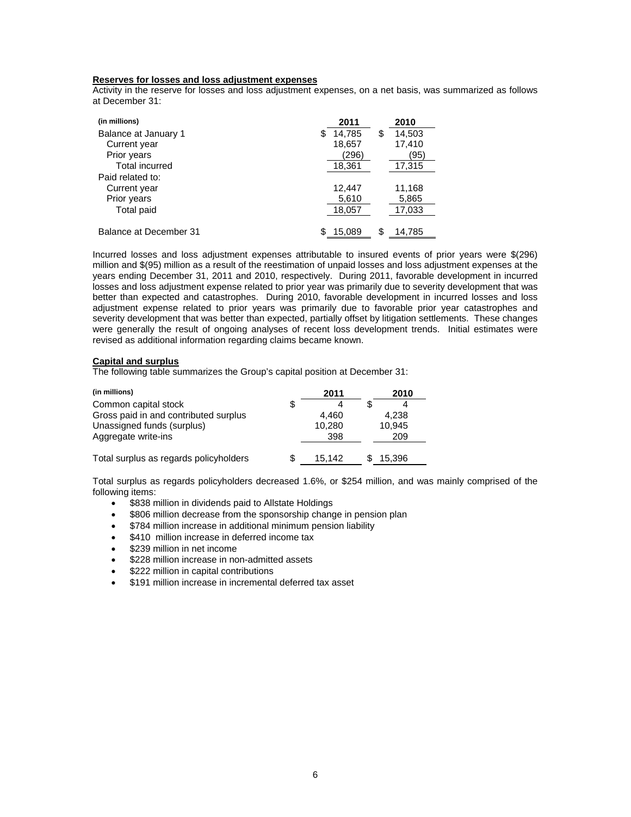## **Reserves for losses and loss adjustment expenses**

Activity in the reserve for losses and loss adjustment expenses, on a net basis, was summarized as follows at December 31:

| (in millions)          |    | 2011   | 2010         |
|------------------------|----|--------|--------------|
| Balance at January 1   | S. | 14,785 | \$<br>14,503 |
| Current year           |    | 18,657 | 17,410       |
| Prior years            |    | (296)  | (95)         |
| <b>Total incurred</b>  |    | 18,361 | 17,315       |
| Paid related to:       |    |        |              |
| Current year           |    | 12.447 | 11,168       |
| Prior years            |    | 5,610  | 5,865        |
| <b>Total paid</b>      |    | 18,057 | 17,033       |
|                        |    |        |              |
| Balance at December 31 | S  | 15,089 | \$<br>14,785 |

Incurred losses and loss adjustment expenses attributable to insured events of prior years were \$(296) million and \$(95) million as a result of the reestimation of unpaid losses and loss adjustment expenses at the years ending December 31, 2011 and 2010, respectively. During 2011, favorable development in incurred losses and loss adjustment expense related to prior year was primarily due to severity development that was better than expected and catastrophes. During 2010, favorable development in incurred losses and loss adjustment expense related to prior years was primarily due to favorable prior year catastrophes and severity development that was better than expected, partially offset by litigation settlements. These changes were generally the result of ongoing analyses of recent loss development trends. Initial estimates were revised as additional information regarding claims became known.

#### **Capital and surplus**

The following table summarizes the Group's capital position at December 31:

| (in millions)                          | 2011   | 2010   |  |
|----------------------------------------|--------|--------|--|
| Common capital stock                   |        |        |  |
| Gross paid in and contributed surplus  | 4,460  | 4,238  |  |
| Unassigned funds (surplus)             | 10,280 | 10,945 |  |
| Aggregate write-ins                    | 398    | 209    |  |
|                                        |        |        |  |
| Total surplus as regards policyholders | 15.142 | 15,396 |  |

Total surplus as regards policyholders decreased 1.6%, or \$254 million, and was mainly comprised of the following items:

- \$838 million in dividends paid to Allstate Holdings
- \$806 million decrease from the sponsorship change in pension plan
- \$784 million increase in additional minimum pension liability
- \$410 million increase in deferred income tax
- \$239 million in net income
- \$228 million increase in non-admitted assets
- \$222 million in capital contributions
- \$191 million increase in incremental deferred tax asset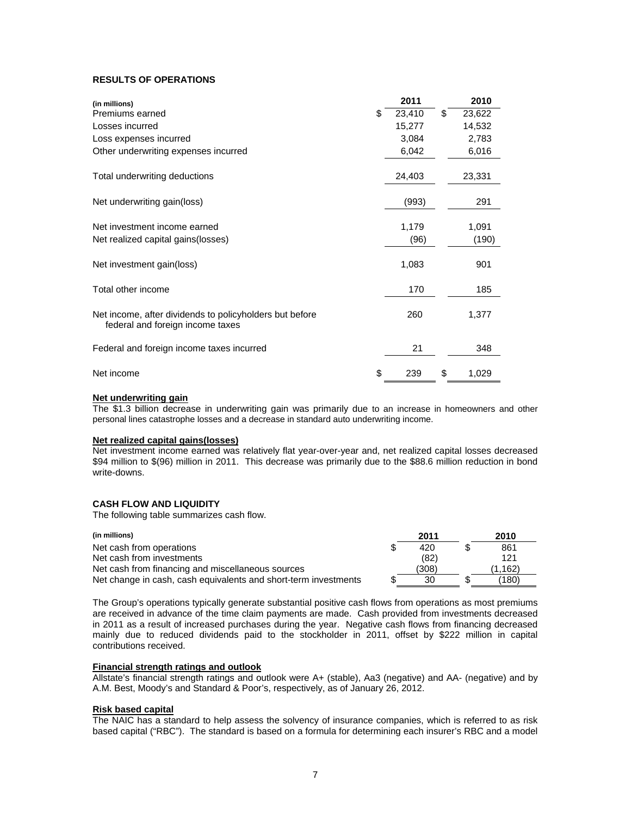## **RESULTS OF OPERATIONS**

| (in millions)                                                                               | 2011         | 2010         |
|---------------------------------------------------------------------------------------------|--------------|--------------|
| Premiums earned                                                                             | \$<br>23,410 | \$<br>23,622 |
| Losses incurred                                                                             | 15,277       | 14,532       |
| Loss expenses incurred                                                                      | 3,084        | 2,783        |
| Other underwriting expenses incurred                                                        | 6,042        | 6,016        |
| Total underwriting deductions                                                               | 24,403       | 23,331       |
| Net underwriting gain(loss)                                                                 | (993)        | 291          |
| Net investment income earned                                                                | 1,179        | 1,091        |
| Net realized capital gains (losses)                                                         | (96)         | (190)        |
| Net investment gain(loss)                                                                   | 1,083        | 901          |
| Total other income                                                                          | 170          | 185          |
| Net income, after dividends to policyholders but before<br>federal and foreign income taxes | 260          | 1,377        |
| Federal and foreign income taxes incurred                                                   | 21           | 348          |
| Net income                                                                                  | \$<br>239    | \$<br>1,029  |

## **Net underwriting gain**

The \$1.3 billion decrease in underwriting gain was primarily due to an increase in homeowners and other personal lines catastrophe losses and a decrease in standard auto underwriting income.

#### **Net realized capital gains(losses)**

Net investment income earned was relatively flat year-over-year and, net realized capital losses decreased \$94 million to \$(96) million in 2011. This decrease was primarily due to the \$88.6 million reduction in bond write-downs.

## **CASH FLOW AND LIQUIDITY**

The following table summarizes cash flow.

| (in millions)                                                   | 2011  | 2010    |
|-----------------------------------------------------------------|-------|---------|
| Net cash from operations                                        | 420   | 861     |
| Net cash from investments                                       | (82)  | 121     |
| Net cash from financing and miscellaneous sources               | (308) | (1.162) |
| Net change in cash, cash equivalents and short-term investments | 30    | (180)   |

The Group's operations typically generate substantial positive cash flows from operations as most premiums are received in advance of the time claim payments are made. Cash provided from investments decreased in 2011 as a result of increased purchases during the year. Negative cash flows from financing decreased mainly due to reduced dividends paid to the stockholder in 2011, offset by \$222 million in capital contributions received.

#### **Financial strength ratings and outlook**

Allstate's financial strength ratings and outlook were A+ (stable), Aa3 (negative) and AA- (negative) and by A.M. Best, Moody's and Standard & Poor's, respectively, as of January 26, 2012.

#### **Risk based capital**

The NAIC has a standard to help assess the solvency of insurance companies, which is referred to as risk based capital ("RBC"). The standard is based on a formula for determining each insurer's RBC and a model